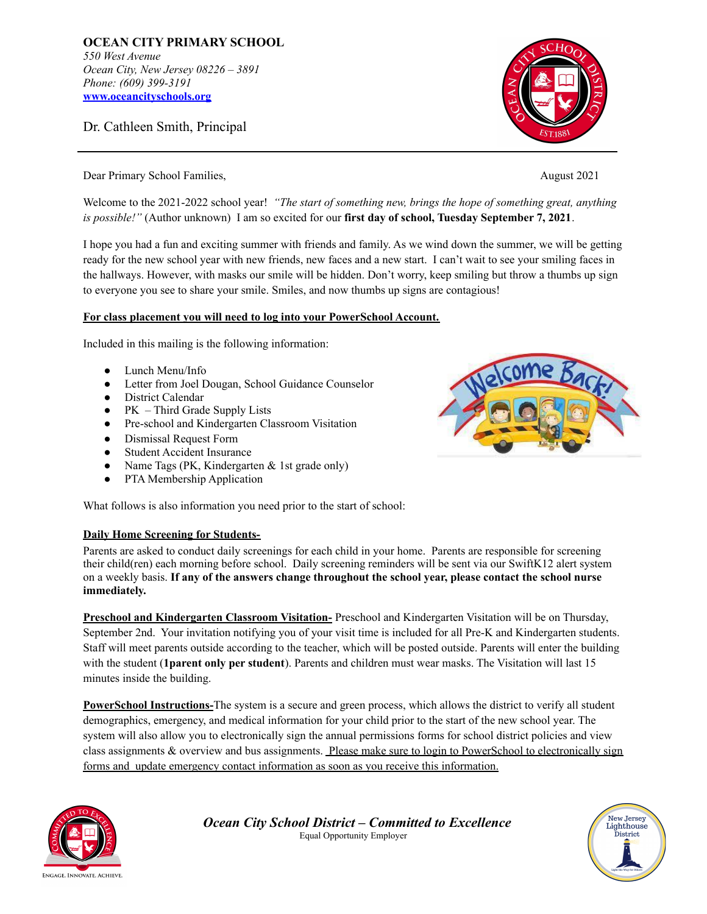**OCEAN CITY PRIMARY SCHOOL** *550 West Avenue Ocean City, New Jersey 08226 – 3891 Phone: (609) 399-3191* **[www.oceancityschools.org](http://www.oceancityschools.org)**

Dr. Cathleen Smith, Principal



Dear Primary School Families, August 2021

Welcome to the 2021-2022 school year! *"The start of something new, brings the hope of something great, anything is possible!"* (Author unknown) I am so excited for our **first day of school, Tuesday September 7, 2021**.

I hope you had a fun and exciting summer with friends and family. As we wind down the summer, we will be getting ready for the new school year with new friends, new faces and a new start. I can't wait to see your smiling faces in the hallways. However, with masks our smile will be hidden. Don't worry, keep smiling but throw a thumbs up sign to everyone you see to share your smile. Smiles, and now thumbs up signs are contagious!

## **For class placement you will need to log into your PowerSchool Account.**

Included in this mailing is the following information:

- Lunch Menu/Info
- Letter from Joel Dougan, School Guidance Counselor
- District Calendar
- PK Third Grade Supply Lists
- Pre-school and Kindergarten Classroom Visitation
- Dismissal Request Form
- Student Accident Insurance
- Name Tags (PK, Kindergarten  $&$  1st grade only)
- PTA Membership Application

What follows is also information you need prior to the start of school:

## **Daily Home Screening for Students-**

Parents are asked to conduct daily screenings for each child in your home. Parents are responsible for screening their child(ren) each morning before school. Daily screening reminders will be sent via our SwiftK12 alert system on a weekly basis. **If any of the answers change throughout the school year, please contact the school nurse immediately.**

**Preschool and Kindergarten Classroom Visitation-** Preschool and Kindergarten Visitation will be on Thursday, September 2nd. Your invitation notifying you of your visit time is included for all Pre-K and Kindergarten students. Staff will meet parents outside according to the teacher, which will be posted outside. Parents will enter the building with the student (**1parent only per student**). Parents and children must wear masks. The Visitation will last 15 minutes inside the building.

**PowerSchool Instructions-**The system is a secure and green process, which allows the district to verify all student demographics, emergency, and medical information for your child prior to the start of the new school year. The system will also allow you to electronically sign the annual permissions forms for school district policies and view class assignments & overview and bus assignments. Please make sure to login to PowerSchool to electronically sign forms and update emergency contact information as soon as you receive this information.



*Ocean City School District – Committed to Excellence* Equal Opportunity Employer



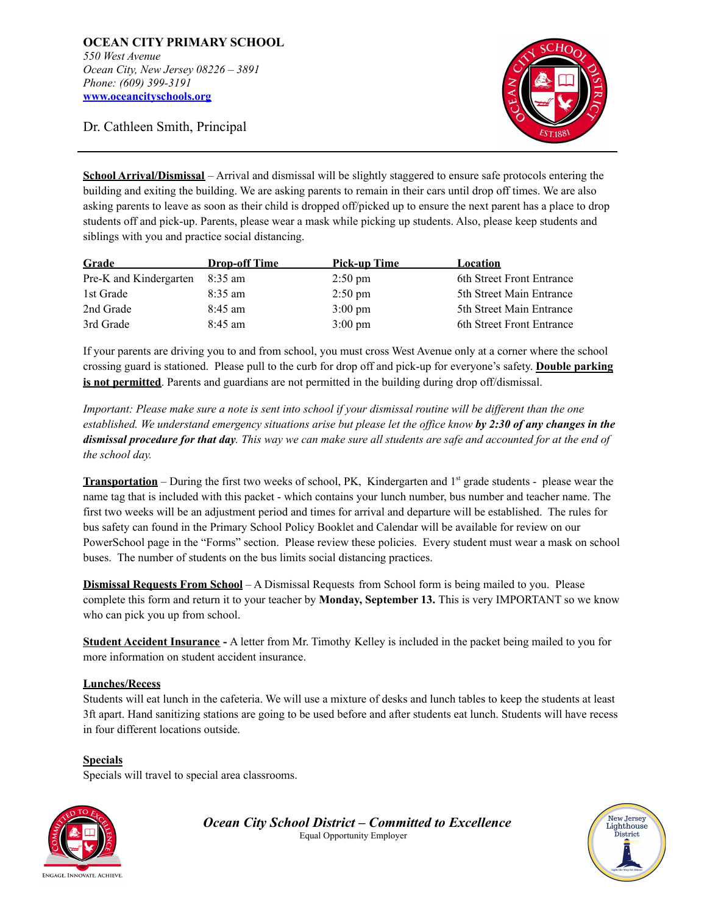Dr. Cathleen Smith, Principal

**School Arrival/Dismissal** – Arrival and dismissal will be slightly staggered to ensure safe protocols entering the building and exiting the building. We are asking parents to remain in their cars until drop off times. We are also asking parents to leave as soon as their child is dropped off/picked up to ensure the next parent has a place to drop students off and pick-up. Parents, please wear a mask while picking up students. Also, please keep students and siblings with you and practice social distancing.

| Grade                  | <b>Drop-off Time</b> | Pick-up Time      | Location                  |
|------------------------|----------------------|-------------------|---------------------------|
| Pre-K and Kindergarten | 8:35 am              | $2:50 \text{ pm}$ | 6th Street Front Entrance |
| 1st Grade              | $8:35 \text{ am}$    | $2:50 \text{ pm}$ | 5th Street Main Entrance  |
| 2nd Grade              | $8:45$ am            | $3:00 \text{ pm}$ | 5th Street Main Entrance  |
| 3rd Grade              | $8:45$ am            | $3:00 \text{ pm}$ | 6th Street Front Entrance |

If your parents are driving you to and from school, you must cross West Avenue only at a corner where the school crossing guard is stationed. Please pull to the curb for drop off and pick-up for everyone's safety. **Double parking is not permitted**. Parents and guardians are not permitted in the building during drop off/dismissal.

Important: Please make sure a note is sent into school if your dismissal routine will be different than the one established. We understand emergency situations arise but please let the office know by  $2:30$  of any changes in the dismissal procedure for that day. This way we can make sure all students are safe and accounted for at the end of *the school day.*

**Transportation** – During the first two weeks of school, PK, Kindergarten and 1<sup>st</sup> grade students - please wear the name tag that is included with this packet - which contains your lunch number, bus number and teacher name. The first two weeks will be an adjustment period and times for arrival and departure will be established. The rules for bus safety can found in the Primary School Policy Booklet and Calendar will be available for review on our PowerSchool page in the "Forms" section. Please review these policies. Every student must wear a mask on school buses. The number of students on the bus limits social distancing practices.

**Dismissal Requests From School** – A Dismissal Requests from School form is being mailed to you. Please complete this form and return it to your teacher by **Monday, September 13.** This is very IMPORTANT so we know who can pick you up from school.

**Student Accident Insurance -** A letter from Mr. Timothy Kelley is included in the packet being mailed to you for more information on student accident insurance.

## **Lunches/Recess**

Students will eat lunch in the cafeteria. We will use a mixture of desks and lunch tables to keep the students at least 3ft apart. Hand sanitizing stations are going to be used before and after students eat lunch. Students will have recess in four different locations outside.

**Specials** Specials will travel to special area classrooms.



*Ocean City School District – Committed to Excellence* Equal Opportunity Employer